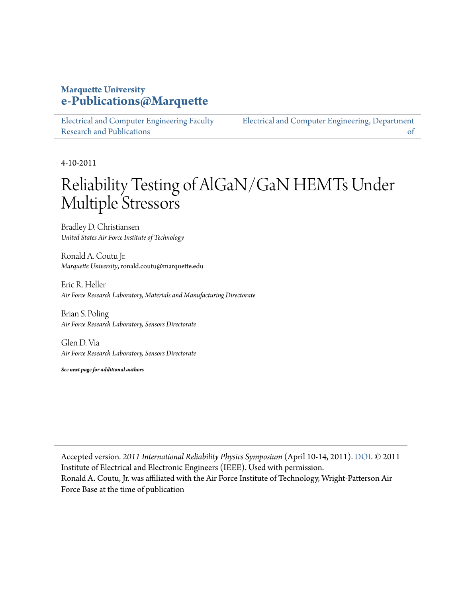### **Marquette University [e-Publications@Marquette](https://epublications.marquette.edu)**

[Electrical and Computer Engineering Faculty](https://epublications.marquette.edu/electric_fac) [Research and Publications](https://epublications.marquette.edu/electric_fac)

[Electrical and Computer Engineering, Department](https://epublications.marquette.edu/electric) [of](https://epublications.marquette.edu/electric)

4-10-2011

# Reliability Testing of AlGaN/GaN HEMTs Under Multiple Stressors

Bradley D. Christiansen *United States Air Force Institute of Technology*

Ronald A. Coutu Jr. *Marquette University*, ronald.coutu@marquette.edu

Eric R. Heller *Air Force Research Laboratory, Materials and Manufacturing Directorate*

Brian S. Poling *Air Force Research Laboratory, Sensors Directorate*

Glen D. Via *Air Force Research Laboratory, Sensors Directorate*

*See next page for additional authors*

Accepted version*. 2011 International Reliability Physics Symposium* (April 10-14, 2011). [DOI.](https://doi.org/10.1109/IRPS.2011.5784556) © 2011 Institute of Electrical and Electronic Engineers (IEEE). Used with permission. Ronald A. Coutu, Jr. was affiliated with the Air Force Institute of Technology, Wright-Patterson Air Force Base at the time of publication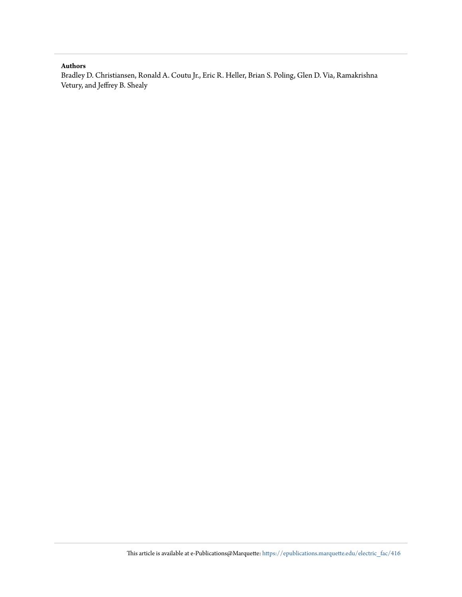#### **Authors**

Bradley D. Christiansen, Ronald A. Coutu Jr., Eric R. Heller, Brian S. Poling, Glen D. Via, Ramakrishna Vetury, and Jeffrey B. Shealy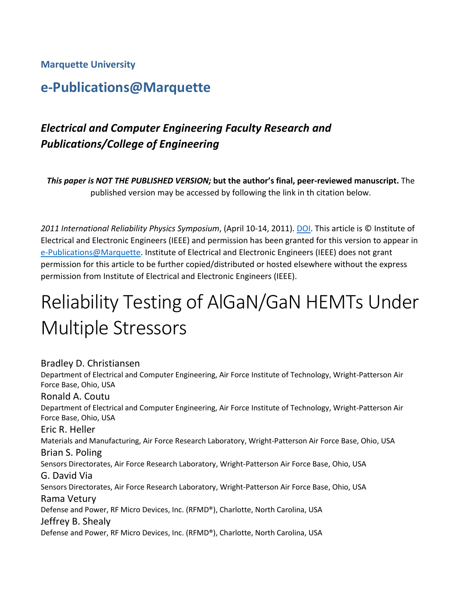#### **Marquette University**

## **e-Publications@Marquette**

## *Electrical and Computer Engineering Faculty Research and Publications/College of Engineering*

*This paper is NOT THE PUBLISHED VERSION;* **but the author's final, peer-reviewed manuscript.** The published version may be accessed by following the link in th citation below.

*2011 International Reliability Physics Symposium*, (April 10-14, 2011). [DOI.](https://doi.org/10.1109/IRPS.2011.5784556) This article is © Institute of Electrical and Electronic Engineers (IEEE) and permission has been granted for this version to appear in [e-Publications@Marquette.](http://epublications.marquette.edu/) Institute of Electrical and Electronic Engineers (IEEE) does not grant permission for this article to be further copied/distributed or hosted elsewhere without the express permission from Institute of Electrical and Electronic Engineers (IEEE).

# Reliability Testing of AlGaN/GaN HEMTs Under Multiple Stressors

#### Bradley D. Christiansen

Department of Electrical and Computer Engineering, Air Force Institute of Technology, Wright-Patterson Air Force Base, Ohio, USA Ronald A. Coutu Department of Electrical and Computer Engineering, Air Force Institute of Technology, Wright-Patterson Air Force Base, Ohio, USA Eric R. Heller Materials and Manufacturing, Air Force Research Laboratory, Wright-Patterson Air Force Base, Ohio, USA Brian S. Poling Sensors Directorates, Air Force Research Laboratory, Wright-Patterson Air Force Base, Ohio, USA G. David Via Sensors Directorates, Air Force Research Laboratory, Wright-Patterson Air Force Base, Ohio, USA Rama Vetury Defense and Power, RF Micro Devices, Inc. (RFMD®), Charlotte, North Carolina, USA Jeffrey B. Shealy Defense and Power, RF Micro Devices, Inc. (RFMD®), Charlotte, North Carolina, USA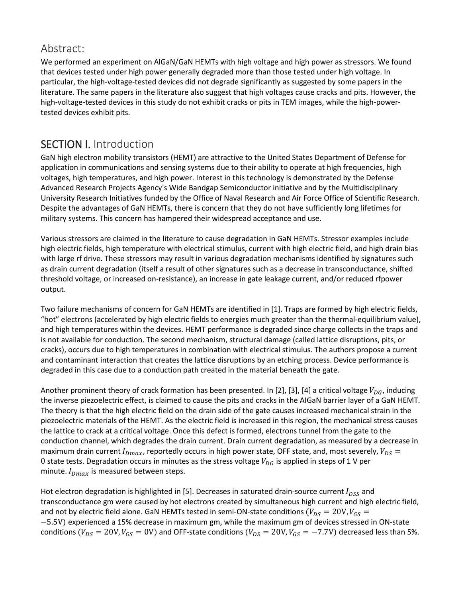#### Abstract:

We performed an experiment on AlGaN/GaN HEMTs with high voltage and high power as stressors. We found that devices tested under high power generally degraded more than those tested under high voltage. In particular, the high-voltage-tested devices did not degrade significantly as suggested by some papers in the literature. The same papers in the literature also suggest that high voltages cause cracks and pits. However, the high-voltage-tested devices in this study do not exhibit cracks or pits in TEM images, while the high-powertested devices exhibit pits.

## SECTION I. Introduction

GaN high electron mobility transistors (HEMT) are attractive to the United States Department of Defense for application in communications and sensing systems due to their ability to operate at high frequencies, high voltages, high temperatures, and high power. Interest in this technology is demonstrated by the Defense Advanced Research Projects Agency's Wide Bandgap Semiconductor initiative and by the Multidisciplinary University Research Initiatives funded by the Office of Naval Research and Air Force Office of Scientific Research. Despite the advantages of GaN HEMTs, there is concern that they do not have sufficiently long lifetimes for military systems. This concern has hampered their widespread acceptance and use.

Various stressors are claimed in the literature to cause degradation in GaN HEMTs. Stressor examples include high electric fields, high temperature with electrical stimulus, current with high electric field, and high drain bias with large rf drive. These stressors may result in various degradation mechanisms identified by signatures such as drain current degradation (itself a result of other signatures such as a decrease in transconductance, shifted threshold voltage, or increased on-resistance), an increase in gate leakage current, and/or reduced rfpower output.

Two failure mechanisms of concern for GaN HEMTs are identified in [1]. Traps are formed by high electric fields, "hot" electrons (accelerated by high electric fields to energies much greater than the thermal-equilibrium value), and high temperatures within the devices. HEMT performance is degraded since charge collects in the traps and is not available for conduction. The second mechanism, structural damage (called lattice disruptions, pits, or cracks), occurs due to high temperatures in combination with electrical stimulus. The authors propose a current and contaminant interaction that creates the lattice disruptions by an etching process. Device performance is degraded in this case due to a conduction path created in the material beneath the gate.

Another prominent theory of crack formation has been presented. In [2], [3], [4] a critical voltage  $V_{DG}$ , inducing the inverse piezoelectric effect, is claimed to cause the pits and cracks in the AIGaN barrier layer of a GaN HEMT. The theory is that the high electric field on the drain side of the gate causes increased mechanical strain in the piezoelectric materials of the HEMT. As the electric field is increased in this region, the mechanical stress causes the lattice to crack at a critical voltage. Once this defect is formed, electrons tunnel from the gate to the conduction channel, which degrades the drain current. Drain current degradation, as measured by a decrease in maximum drain current  $I_{Dmax}$ , reportedly occurs in high power state, OFF state, and, most severely,  $V_{DS}$  = 0 state tests. Degradation occurs in minutes as the stress voltage  $V_{DG}$  is applied in steps of 1 V per minute.  $I_{Dmax}$  is measured between steps.

Hot electron degradation is highlighted in [5]. Decreases in saturated drain-source current  $I_{DSS}$  and transconductance gm were caused by hot electrons created by simultaneous high current and high electric field, and not by electric field alone. GaN HEMTs tested in semi-ON-state conditions ( $V_{DS} = 20V, V_{GS} =$ −5.5V) experienced a 15% decrease in maximum gm, while the maximum gm of devices stressed in ON-state conditions ( $V_{DS} = 20V$ ,  $V_{GS} = 0V$ ) and OFF-state conditions ( $V_{DS} = 20V$ ,  $V_{GS} = -7.7V$ ) decreased less than 5%.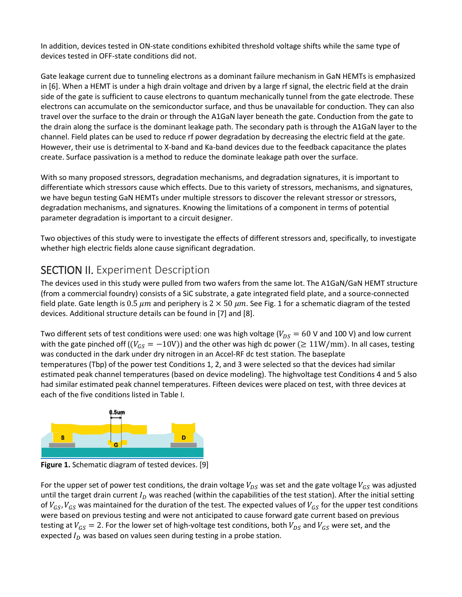In addition, devices tested in ON-state conditions exhibited threshold voltage shifts while the same type of devices tested in OFF-state conditions did not.

Gate leakage current due to tunneling electrons as a dominant failure mechanism in GaN HEMTs is emphasized in [6]. When a HEMT is under a high drain voltage and driven by a large rf signal, the electric field at the drain side of the gate is sufficient to cause electrons to quantum mechanically tunnel from the gate electrode. These electrons can accumulate on the semiconductor surface, and thus be unavailable for conduction. They can also travel over the surface to the drain or through the A1GaN layer beneath the gate. Conduction from the gate to the drain along the surface is the dominant leakage path. The secondary path is through the A1GaN layer to the channel. Field plates can be used to reduce rf power degradation by decreasing the electric field at the gate. However, their use is detrimental to X-band and Ka-band devices due to the feedback capacitance the plates create. Surface passivation is a method to reduce the dominate leakage path over the surface.

With so many proposed stressors, degradation mechanisms, and degradation signatures, it is important to differentiate which stressors cause which effects. Due to this variety of stressors, mechanisms, and signatures, we have begun testing GaN HEMTs under multiple stressors to discover the relevant stressor or stressors, degradation mechanisms, and signatures. Knowing the limitations of a component in terms of potential parameter degradation is important to a circuit designer.

Two objectives of this study were to investigate the effects of different stressors and, specifically, to investigate whether high electric fields alone cause significant degradation.

## SECTION II. Experiment Description

The devices used in this study were pulled from two wafers from the same lot. The A1GaN/GaN HEMT structure (from a commercial foundry) consists of a SiC substrate, a gate integrated field plate, and a source-connected field plate. Gate length is 0.5  $\mu$ m and periphery is 2  $\times$  50  $\mu$ m. See Fig. 1 for a schematic diagram of the tested devices. Additional structure details can be found in [7] and [8].

Two different sets of test conditions were used: one was high voltage ( $V_{DS} = 60$  V and 100 V) and low current with the gate pinched off ( $(V_{GS} = -10V)$ ) and the other was high dc power ( $\geq 11W/mm$ ). In all cases, testing was conducted in the dark under dry nitrogen in an Accel-RF dc test station. The baseplate temperatures (Tbp) of the power test Conditions 1, 2, and 3 were selected so that the devices had similar estimated peak channel temperatures (based on device modeling). The highvoltage test Conditions 4 and 5 also had similar estimated peak channel temperatures. Fifteen devices were placed on test, with three devices at each of the five conditions listed in Table I.



**Figure 1.** Schematic diagram of tested devices. [9]

For the upper set of power test conditions, the drain voltage  $V_{DS}$  was set and the gate voltage  $V_{GS}$  was adjusted until the target drain current  $I_D$  was reached (within the capabilities of the test station). After the initial setting of  $V_{GS}$ ,  $V_{GS}$  was maintained for the duration of the test. The expected values of  $V_{GS}$  for the upper test conditions were based on previous testing and were not anticipated to cause forward gate current based on previous testing at  $V_{GS} = 2$ . For the lower set of high-voltage test conditions, both  $V_{DS}$  and  $V_{GS}$  were set, and the expected  $I_D$  was based on values seen during testing in a probe station.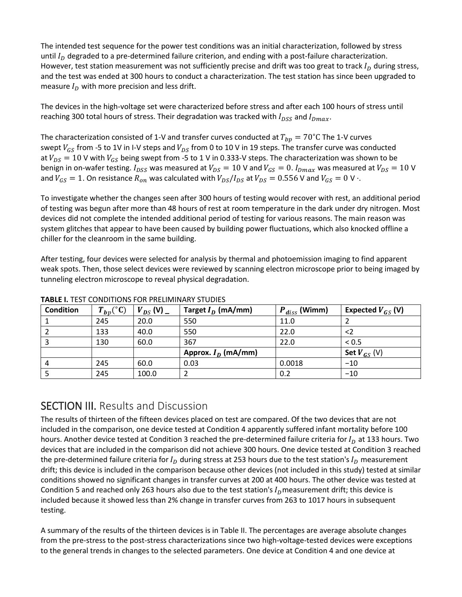The intended test sequence for the power test conditions was an initial characterization, followed by stress until  $I<sub>D</sub>$  degraded to a pre-determined failure criterion, and ending with a post-failure characterization. However, test station measurement was not sufficiently precise and drift was too great to track  $I_p$  during stress, and the test was ended at 300 hours to conduct a characterization. The test station has since been upgraded to measure  $I_D$  with more precision and less drift.

The devices in the high-voltage set were characterized before stress and after each 100 hours of stress until reaching 300 total hours of stress. Their degradation was tracked with  $I_{DSS}$  and  $I_{Dmax}$ .

The characterization consisted of 1-V and transfer curves conducted at  $T_{bp} = 70^{\circ}$ C The 1-V curves swept  $V_{GS}$  from -5 to 1V in I-V steps and  $V_{DS}$  from 0 to 10 V in 19 steps. The transfer curve was conducted at  $V_{DS} = 10$  V with  $V_{GS}$  being swept from -5 to 1 V in 0.333-V steps. The characterization was shown to be benign in on-wafer testing.  $I_{DSS}$  was measured at  $V_{DS} = 10$  V and  $V_{GS} = 0$ .  $I_{Dmax}$  was measured at  $V_{DS} = 10$  V and  $V_{GS} = 1$ . On resistance  $R_{on}$  was calculated with  $V_{DS}/I_{DS}$  at  $V_{DS} = 0.556$  V and  $V_{GS} = 0$  V  $\cdot$ .

To investigate whether the changes seen after 300 hours of testing would recover with rest, an additional period of testing was begun after more than 48 hours of rest at room temperature in the dark under dry nitrogen. Most devices did not complete the intended additional period of testing for various reasons. The main reason was system glitches that appear to have been caused by building power fluctuations, which also knocked offline a chiller for the cleanroom in the same building.

After testing, four devices were selected for analysis by thermal and photoemission imaging to find apparent weak spots. Then, those select devices were reviewed by scanning electron microscope prior to being imaged by tunneling electron microscope to reveal physical degradation.

| <b>Condition</b> | $T_{bp}$ (°C) | $V_{DS}$ (V) $-$ | Target $I_D$ (mA/mm)  | $P_{diss}$ (Wimm) | Expected $V_{GS}$ (V) |
|------------------|---------------|------------------|-----------------------|-------------------|-----------------------|
|                  | 245           | 20.0             | 550                   | 11.0              |                       |
|                  | 133           | 40.0             | 550                   | 22.0              | $<$ 2                 |
|                  | 130           | 60.0             | 367                   | 22.0              | < 0.5                 |
|                  |               |                  | Approx. $I_D$ (mA/mm) |                   | Set $V_{GS}$ (V)      |
| 4                | 245           | 60.0             | 0.03                  | 0.0018            | $-10$                 |
|                  | 245           | 100.0            |                       | 0.2               | $-10$                 |

**TABLE I.** TEST CONDITIONS FOR PRELIMINARY STUDIES

## SECTION III. Results and Discussion

The results of thirteen of the fifteen devices placed on test are compared. Of the two devices that are not included in the comparison, one device tested at Condition 4 apparently suffered infant mortality before 100 hours. Another device tested at Condition 3 reached the pre-determined failure criteria for  $I_p$  at 133 hours. Two devices that are included in the comparison did not achieve 300 hours. One device tested at Condition 3 reached the pre-determined failure criteria for  $I_D$  during stress at 253 hours due to the test station's  $I_D$  measurement drift; this device is included in the comparison because other devices (not included in this study) tested at similar conditions showed no significant changes in transfer curves at 200 at 400 hours. The other device was tested at Condition 5 and reached only 263 hours also due to the test station's  $I<sub>D</sub>$  measurement drift; this device is included because it showed less than 2% change in transfer curves from 263 to 1017 hours in subsequent testing.

A summary of the results of the thirteen devices is in Table II. The percentages are average absolute changes from the pre-stress to the post-stress characterizations since two high-voltage-tested devices were exceptions to the general trends in changes to the selected parameters. One device at Condition 4 and one device at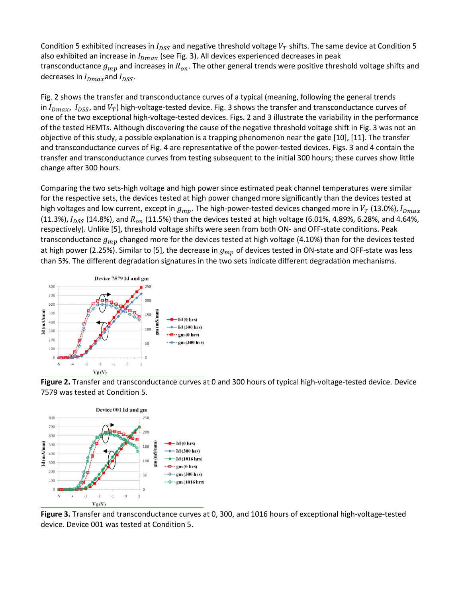Condition 5 exhibited increases in  $I_{DSS}$  and negative threshold voltage  $V_T$  shifts. The same device at Condition 5 also exhibited an increase in  $I_{Dmax}$  (see Fig. 3). All devices experienced decreases in peak transconductance  $g_{mp}$  and increases in  $R_{on}$ . The other general trends were positive threshold voltage shifts and decreases in  $I_{Dmax}$  and  $I_{DSS}$ .

Fig. 2 shows the transfer and transconductance curves of a typical (meaning, following the general trends in  $I_{Dmax}$ ,  $I_{DSS}$ , and  $V_T$ ) high-voltage-tested device. Fig. 3 shows the transfer and transconductance curves of one of the two exceptional high-voltage-tested devices. Figs. 2 and 3 illustrate the variability in the performance of the tested HEMTs. Although discovering the cause of the negative threshold voltage shift in Fig. 3 was not an objective of this study, a possible explanation is a trapping phenomenon near the gate [10], [11]. The transfer and transconductance curves of Fig. 4 are representative of the power-tested devices. Figs. 3 and 4 contain the transfer and transconductance curves from testing subsequent to the initial 300 hours; these curves show little change after 300 hours.

Comparing the two sets-high voltage and high power since estimated peak channel temperatures were similar for the respective sets, the devices tested at high power changed more significantly than the devices tested at high voltages and low current, except in  $g_{mp}$ . The high-power-tested devices changed more in  $V_T$  (13.0%),  $I_{Dmax}$ (11.3%),  $I_{DSS}$  (14.8%), and  $R_{on}$  (11.5%) than the devices tested at high voltage (6.01%, 4.89%, 6.28%, and 4.64%, respectively). Unlike [5], threshold voltage shifts were seen from both ON- and OFF-state conditions. Peak transconductance  $g_{mp}$  changed more for the devices tested at high voltage (4.10%) than for the devices tested at high power (2.25%). Similar to [5], the decrease in  $g_{mp}$  of devices tested in ON-state and OFF-state was less than 5%. The different degradation signatures in the two sets indicate different degradation mechanisms.



**Figure 2.** Transfer and transconductance curves at 0 and 300 hours of typical high-voltage-tested device. Device 7579 was tested at Condition 5.



**Figure 3.** Transfer and transconductance curves at 0, 300, and 1016 hours of exceptional high-voltage-tested device. Device 001 was tested at Condition 5.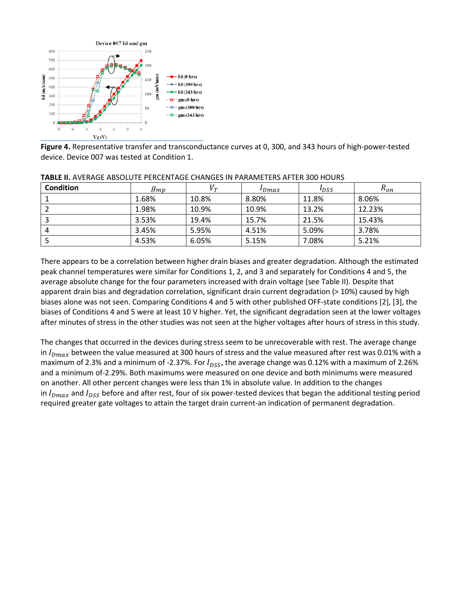

**Figure 4.** Representative transfer and transconductance curves at 0, 300, and 343 hours of high-power-tested device. Device 007 was tested at Condition 1.

| <b>Condition</b> | $g_{mp}$ | $V_{\scriptscriptstyle T}$ | $I_{Dmax}$ | $I_{DSS}$ | $R_{on}$ |
|------------------|----------|----------------------------|------------|-----------|----------|
|                  | 1.68%    | 10.8%                      | 8.80%      | 11.8%     | 8.06%    |
|                  | 1.98%    | 10.9%                      | 10.9%      | 13.2%     | 12.23%   |
|                  | 3.53%    | 19.4%                      | 15.7%      | 21.5%     | 15.43%   |
| 4                | 3.45%    | 5.95%                      | 4.51%      | 5.09%     | 3.78%    |
|                  | 4.53%    | 6.05%                      | 5.15%      | 7.08%     | 5.21%    |

#### **TABLE II.** AVERAGE ABSOLUTE PERCENTAGE CHANGES IN PARAMETERS AFTER 300 HOURS

There appears to be a correlation between higher drain biases and greater degradation. Although the estimated peak channel temperatures were similar for Conditions 1, 2, and 3 and separately for Conditions 4 and 5, the average absolute change for the four parameters increased with drain voltage (see Table II). Despite that apparent drain bias and degradation correlation, significant drain current degradation (> 10%) caused by high biases alone was not seen. Comparing Conditions 4 and 5 with other published OFF-state conditions [2], [3], the biases of Conditions 4 and 5 were at least 10 V higher. Yet, the significant degradation seen at the lower voltages after minutes of stress in the other studies was not seen at the higher voltages after hours of stress in this study.

The changes that occurred in the devices during stress seem to be unrecoverable with rest. The average change in  $I_{Dmax}$  between the value measured at 300 hours of stress and the value measured after rest was 0.01% with a maximum of 2.3% and a minimum of -2.37%. For  $I_{DSS}$ , the average change was 0.12% with a maximum of 2.26% and a minimum of-2.29%. Both maximums were measured on one device and both minimums were measured on another. All other percent changes were less than 1% in absolute value. In addition to the changes in  $I_{Dmax}$  and  $I_{DSS}$  before and after rest, four of six power-tested devices that began the additional testing period required greater gate voltages to attain the target drain current-an indication of permanent degradation.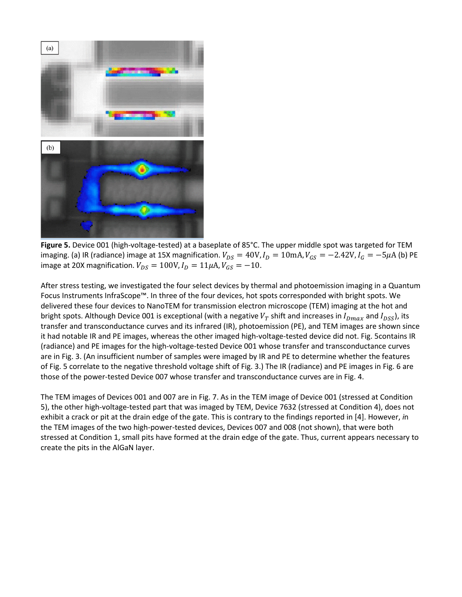

**Figure 5.** Device 001 (high-voltage-tested) at a baseplate of 85°C. The upper middle spot was targeted for TEM imaging. (a) IR (radiance) image at 15X magnification.  $V_{DS} = 40V$ ,  $I_D = 10$ mA,  $V_{GS} = -2.42V$ ,  $I_G = -5\mu$ A (b) PE image at 20X magnification.  $V_{DS} = 100V$ ,  $I_D = 11\mu A$ ,  $V_{GS} = -10$ .

After stress testing, we investigated the four select devices by thermal and photoemission imaging in a Quantum Focus Instruments InfraScope™. In three of the four devices, hot spots corresponded with bright spots. We delivered these four devices to NanoTEM for transmission electron microscope (TEM) imaging at the hot and bright spots. Although Device 001 is exceptional (with a negative  $V_T$  shift and increases in  $I_{Dmax}$  and  $I_{DSS}$ ), its transfer and transconductance curves and its infrared (IR), photoemission (PE), and TEM images are shown since it had notable IR and PE images, whereas the other imaged high-voltage-tested device did not. Fig. 5contains IR (radiance) and PE images for the high-voltage-tested Device 001 whose transfer and transconductance curves are in Fig. 3. (An insufficient number of samples were imaged by IR and PE to determine whether the features of Fig. 5 correlate to the negative threshold voltage shift of Fig. 3.) The IR (radiance) and PE images in Fig. 6 are those of the power-tested Device 007 whose transfer and transconductance curves are in Fig. 4.

The TEM images of Devices 001 and 007 are in Fig. 7. As in the TEM image of Device 001 (stressed at Condition 5), the other high-voltage-tested part that was imaged by TEM, Device 7632 (stressed at Condition 4), does not exhibit a crack or pit at the drain edge of the gate. This is contrary to the findings reported in [4]. However, *i*n the TEM images of the two high-power-tested devices, Devices 007 and 008 (not shown), that were both stressed at Condition 1, small pits have formed at the drain edge of the gate. Thus, current appears necessary to create the pits in the AlGaN layer.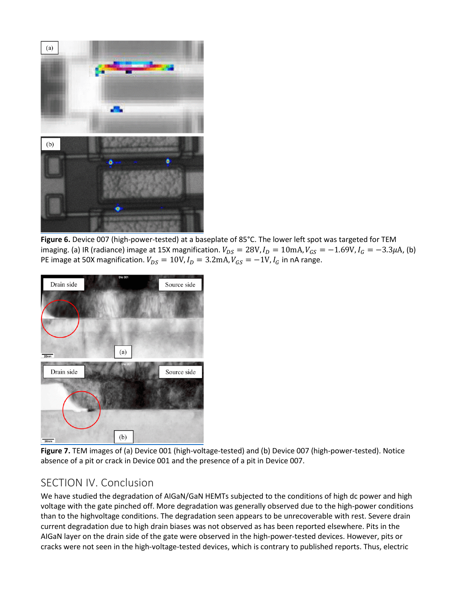

**Figure 6.** Device 007 (high-power-tested) at a baseplate of 85°C. The lower left spot was targeted for TEM imaging. (a) IR (radiance) image at 15X magnification.  $V_{DS} = 28V$ ,  $I_D = 10$ mA,  $V_{GS} = -1.69V$ ,  $I_G = -3.3 \mu$ A, (b) PE image at 50X magnification.  $V_{DS} = 10V$ ,  $I_D = 3.2 \text{mA}$ ,  $V_{GS} = -1V$ ,  $I_G$  in nA range.



**Figure 7.** TEM images of (a) Device 001 (high-voltage-tested) and (b) Device 007 (high-power-tested). Notice absence of a pit or crack in Device 001 and the presence of a pit in Device 007.

## SECTION IV. Conclusion

We have studied the degradation of AIGaN/GaN HEMTs subjected to the conditions of high dc power and high voltage with the gate pinched off. More degradation was generally observed due to the high-power conditions than to the highvoltage conditions. The degradation seen appears to be unrecoverable with rest. Severe drain current degradation due to high drain biases was not observed as has been reported elsewhere. Pits in the AIGaN layer on the drain side of the gate were observed in the high-power-tested devices. However, pits or cracks were not seen in the high-voltage-tested devices, which is contrary to published reports. Thus, electric